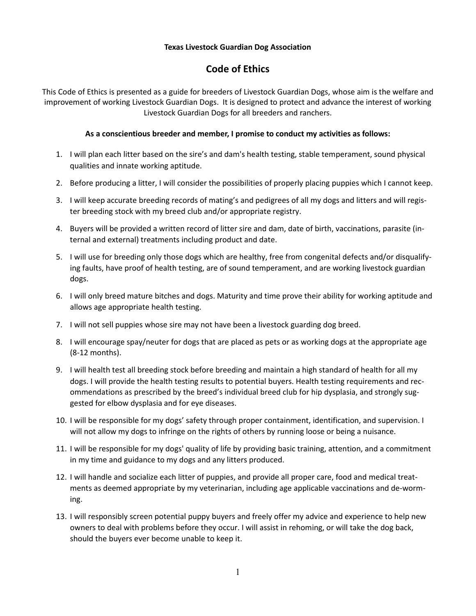## **Texas Livestock Guardian Dog Association**

## **Code of Ethics**

This Code of Ethics is presented as a guide for breeders of Livestock Guardian Dogs, whose aim is the welfare and improvement of working Livestock Guardian Dogs. It is designed to protect and advance the interest of working Livestock Guardian Dogs for all breeders and ranchers.

## **As a conscientious breeder and member, I promise to conduct my activities as follows:**

- 1. I will plan each litter based on the sire's and dam's health testing, stable temperament, sound physical qualities and innate working aptitude.
- 2. Before producing a litter, I will consider the possibilities of properly placing puppies which I cannot keep.
- 3. I will keep accurate breeding records of mating's and pedigrees of all my dogs and litters and will register breeding stock with my breed club and/or appropriate registry.
- 4. Buyers will be provided a written record of litter sire and dam, date of birth, vaccinations, parasite (internal and external) treatments including product and date.
- 5. I will use for breeding only those dogs which are healthy, free from congenital defects and/or disqualifying faults, have proof of health testing, are of sound temperament, and are working livestock guardian dogs.
- 6. I will only breed mature bitches and dogs. Maturity and time prove their ability for working aptitude and allows age appropriate health testing.
- 7. I will not sell puppies whose sire may not have been a livestock guarding dog breed.
- 8. I will encourage spay/neuter for dogs that are placed as pets or as working dogs at the appropriate age (8-12 months).
- 9. I will health test all breeding stock before breeding and maintain a high standard of health for all my dogs. I will provide the health testing results to potential buyers. Health testing requirements and recommendations as prescribed by the breed's individual breed club for hip dysplasia, and strongly suggested for elbow dysplasia and for eye diseases.
- 10. I will be responsible for my dogs' safety through proper containment, identification, and supervision. I will not allow my dogs to infringe on the rights of others by running loose or being a nuisance.
- 11. I will be responsible for my dogs' quality of life by providing basic training, attention, and a commitment in my time and guidance to my dogs and any litters produced.
- 12. I will handle and socialize each litter of puppies, and provide all proper care, food and medical treatments as deemed appropriate by my veterinarian, including age applicable vaccinations and de-worming.
- 13. I will responsibly screen potential puppy buyers and freely offer my advice and experience to help new owners to deal with problems before they occur. I will assist in rehoming, or will take the dog back, should the buyers ever become unable to keep it.